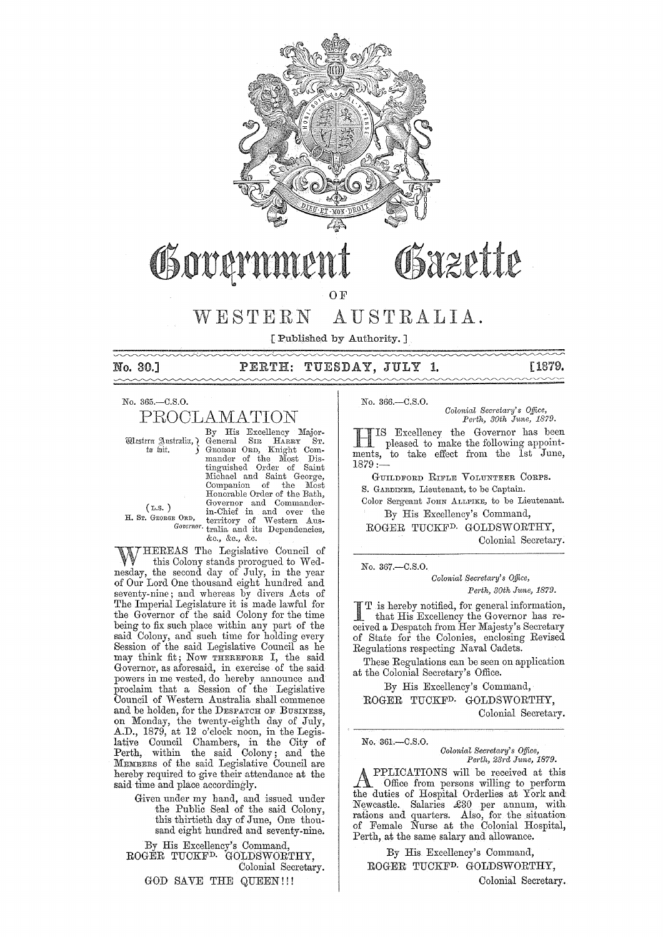

# Osazette Governn

OF

## WESTERN AUSTRALIA.

[ Published by Authority. ]

\_<del>\_\_\_\_\_\_\_\_\_\_\_\_\_\_\_\_\_\_\_\_\_\_\_\_\_\_\_\_\_\_\_</del>

## No. 30.] PERTH: TUESDAY, JULY **1.** [1879.

No. 365.-C.S.0.

# PROOLAMATION

By His Excellency Major-Wtestern Australia, General SIR HARRY ST.<br>to wit. **J.** GEORGE ORD, Knight Commander of the Most Dis-<br>tinguished Order of Saint<br>Michael and Saint George,<br>Companion of the Most Honorable Order of the Bath, Governor and Commander- (L.S. ) in-Chief in and over the H. Sr. GEORGE ORD, territory of Western Aus-*Govemo)'.* tralia and its Dependencies, &c., &c., &c.

HEREAS The Legislative Council of this Colony stands prorogued to Wednesday, the second day of July, in the year of Our Lord One thousand eight hundred and seventy-nine; and whereas by divers Acts of The Imperial Legislature it is made lawful for the Governor of the said Colony for the time being to fix such place within any part of the said Colony, and such time for holding every Session of the said Legislative Council as he may think fit; Now THEREFORE I, the said Governor, as aforesaid, in exercise of the said powers in me vested, do hereby announce and proclaim that a Session of the Legislative Council of Western Australia shall commence and be holden, for the DESPATCH OF BUSINESS, on Monday, the twenty-eighth day of July, A.D., 1879, at 12 o'clock noon, in the Legislative Council Chambers, in the City of Perth, within the said Colony; and the MEMBERS of the said Legislative Council are hereby required to give their attendance at the said time and place accordingly.

> Given under my hand, and issued under the Public Seal of the said Colony, this thirtieth day of June, One thousand eight hundred and seventy-nine.

By His Excellency's Command, ROGER TUCKFD. GOLDSWORTHY, Colonial Secretary.

GOD SAVE THE QUEEN!!!

No. 366.-C.S.0.

*Oolonial Secreia?'Y's Office, Pm·th, 30th J1me, 1879.* 

HIS Excellency the Governor has been pleased to make the following appointments, to take effect from the Ist June, 1879:-

GUILDFORD RIFLE VOLUNTEER CORPS. S. GARDINER, Lieutenant, to be Captain. Color Sergeant JOHN ALLPIKE, to be Lieutenant. By His Excellency's Command,

ROGER TUCKFD. GOLDSWORTRY, Colonial Secretary.

No. 367,-C.S.O.

No. 361.-C.S.0.

*Colonial Secretary's Office, Perth, 30th June, 1879.* 

I T is hereby notified, for general information<br>that His Excellency the Governor has re-T .is hereby notified, for general information, ceived a Despatch from Her Majesty's Secretary of State for the Colonies, enclosing Revised Regulations respecting Naval Cadets.

These Regulations can be seen on application at the Colonial Secretary's Office.

By His Excellency's Command,

ROGER TUCKFD. GOLDSWORTRY, Colonial Secretary.

*Oolonial Secl'eta?-Y's Office, Pm-t7"* 231'<1, *June, 1879.* 

A PPLICATIONS will be received at this<br>
Office from persons willing to perform<br>
the duties of Hurttal Orderline to York and the duties of Hospital Orderlies at York and Newcastle. Salaries £30 per annum, with rations and quarters. Also, for the situation of Female Nurse at the Colonial Hospital, Perth, at the same salary and allowance.

By His Excellency's Command, ROGER TUCKFD. GOLDSWORTHY,

Colonial Secretary.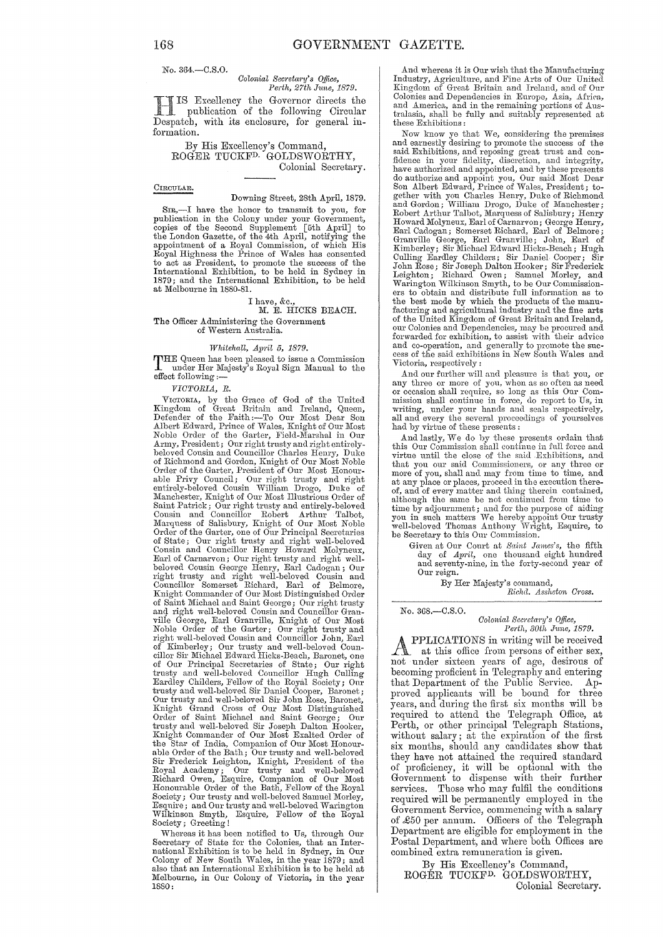No. 364.-C.S.O.

#### Colonial Secretary's Office, Perth, 27th June, 1879.

IS Excellency the Governor directs the publication of the following Circular Despatch, with its enclosure, for general information.

By His Excellency's Command,<br>ROGER TUCKF<sup>D.</sup> GOLDSWORTHY, Colonial Secretary.

#### CIRCULAR.

#### Downing Street, 28th April, 1879.

SIR,-I have the honor to transmit to you, for publication in the Colony under your Government, published in the colory under your covernment,<br>copies of the Second Supplement [5th April] to<br>the London Gazette, of the 4th April, notifying the<br>appointment of a Royal Commission, of which His<br>Royal Highness the Prince of to act as President, to promote the success of the<br>International Exhibition, to be held in Sydney in 1879; and the International Exhibition, to be held at Melbourne in 1880-81.

## I have, &c.,<br>M. E. HICKS BEACH.

#### The Officer Administering the Government of Western Australia.

### Whitehall, April 5, 1879.

THE Queen has been pleased to issue a Commission<br>under Her Majesty's Royal Sign Manual to the effect following:

VICTORIA, R.

VICTORIA, by the Grace of God of the United<br>Kingdom of Great Britain and Ireland, Queen,<br>Defender of the Faith :—To Our Most Dear Son<br>Albert Edward, Prince of Wales, Knight of Our Most<br>Noble Order of the Garter, Field-Mars Army, President; Our right trusty and right entirely-Army, President; Our right trusty and right entirely-<br>beloved Cousin and Councillor Charles Henry, Duke<br>of Richmond and Gordon, Knight of Our Most Noble<br>Order of the Garter, President of Our Most Noble<br>Order of the Garter, Maintenburse, Mingui of Our Music Saint Patrick; Our right trusty and entirely-beloved<br>Cousin and Councillor Robert Arthur Talbot,<br>Marquess of Salisbury, Knight of Our Most Noble<br>Order of the Garter, one of Our Principal S of State; Our right trusty and right well-beloved Cousin and Councillor Henry Howard Molyneux, Earl of Carnarvon; Our right trusty and right wellbeloved Cousin George Henry, Earl Cadogan; Our<br>right trusty and right well-beloved Cousin and<br>councillor Somerset Richard, Earl of Belmore,<br>Knight Commander of Our Most Distinguished Order of Saint Michael and Saint George; Our right trusty and right well-beloved Cousin and Councillor Granville George, Earl Granville, Knight of Our Most<br>Noble Order of the Garter; Our right trusty and<br>right well-beloved Cousin and Councillor John, Earl Kimberley; Our trusty and well-beloved Councillor Sir Michael Edward Hicks-Beach, Baronet, one of Our Principal Secretaries of State; Our right trusty and well-beloved Councillor Hugh Culling Eardley Childers, Fellow of the Royal Society; Our trusty and well-beloved Sir Daniel Cooper, Baronet; Our trusty and well-beloved Sir John Rose, Baronet, Eight Grand Cross of Our Most Distinguished<br>Order of Saint Michael and Saint George; Our<br>trusty and well-beloved Sir Joseph Dalton Hooker,<br>Knight Commander of Our Most Exalted Order of the Star of India, Companion of Our Most Honourthe Star of Huat, Companion of Our most Honour-<br>able Order of the Bath; Our trusty and well-beloved<br>River Frederick Leighton, Knight, President of the<br>Royal Academy; Our trusty and well-beloved<br>Richard Owen, Esquire, Compa Society; Our trusty and well-beloved Samuel Morley, Esquire; and Our trusty and well-beloved Warington Wilkinson Smyth,<br>Society; Greeting! Esquire, Fellow of the Royal

Whereas it has been notified to Us, through Our Secretary of State for the Colonies, that an International Exhibition is to be held in Sydney, in Our Colony of New South Wales, in the year 1879; and also that an International Exhibition is to be held at Melbourne, in Our Colony of Victoria, in the year 1880:

And whereas it is Our wish that the Manufacturing<br>Industry, Agriculture, and Fine Arts of Our United Kingdom of Great Britain and Ireland, and of Our Colonies and Dependencies in Europe, Asia, Africa, sources and America, and in the remaining portions of Australasia, shall be fully and suitably represented at these Exhibitions:

Now know ye that We, considering the premises and earnestly desiring to promote the success of the and Exhibitions, and reposing great trust and considerations, and reposing great trust and con-<br>fidence in your fidelity, discretion, and integrity,<br>have authorized and appointed, and by these presents<br>do authorize and app Son American Wavard, Frince of Water, Testatent; to-<br>gether with you Charles Henry, Duke of Richmond<br>and Gordon; William Drogo, Duke of Manchester;<br>Robert Arthur Talbot, Marquess of Salisbury; Henry<br>Howard Molyneux, Earl o Earl Cadogan; Somerset Echard, Earl of Belmore;<br>Granville George, Earl Granville; John, Earl of<br>Kimberley; Sir Michael Edward Hicks-Beach; Hugh<br>Culling Eardley Childers; Sir Daniel Cooper; Sir<br>John Rose; Sir Joseph Dalton ers to obtain and distribute full information as to<br>the best mode by which the products of the manu-<br>facturing and agricultural industry and the fine arts of the United Kingdom of Great Britain and Ireland, our Colonies and Dependencies, may be procured and forwarded for exhibition, to assist with their advice and co-operation, and generally to promote the success of the said exhibitions in New South Wales and Victoria, respectively:

And our further will and pleasure is that you, or any three or more of you, when as so often as need<br>or occasion shall require, so long as this Our Comor containing, in force, do report to Us, in writing, under your hands and seals respectively, all and every the several proceedings of yourselves had by virtue of these presents :

And lastly, We do by these presents ordain that this Our Commission shall continue in full force and virtue until the close of the said Exhibitions, and that you our said Commissioners, or any three or more of you, shall and may from time to time, and and any place or places, proceed in the execution there-<br>of, and of every matter and thing therein contained, although the same be not continued from time to time by adjournment; and for the purpose of aiding<br>you in such matters We hereby appoint Our trusty<br>well-beloved Thomas Anthony Wright, Esquire, to be Secretary to this Our Commission.

Given at Our Court at Saint James's, the fifth<br>day of April, one thousand eight hundred and seventy-nine, in the forty-second year of Our reign.

By Her Majesty's command,<br>Richd. Assheton Cross.

#### No. 368.- $C.S.O.$

# Colonial Secretary's Office,<br>Perth, 30th June, 1879.

PPLICATIONS in writing will be received A at this office from persons of either sex, not under sixteen years of age, desirous of becoming proficient in Telegraphy and entering that Department of the Public Service.  $Ap$ proved applicants will be bound for three years, and during the first six months will be required to attend the Telegraph Office, at Perth, or other principal Telegraph Stations, without salary; at the expiration of the first six months, should any candidates show that they have not attained the required standard<br>of proficiency, it will be optional with the<br>Government to dispense with their further Those who may fulfil the conditions services. required will be permanently employed in the Government Service, commencing with a salary of £50 per annum. Officers of the Telegraph Department are eligible for employment in the Postal Department, and where both Offices are combined extra remuneration is given.

By His Excellency's Command, ROGÉR TUCKF<sup>D.</sup> GOLDSWORTHY, Colonial Secretary.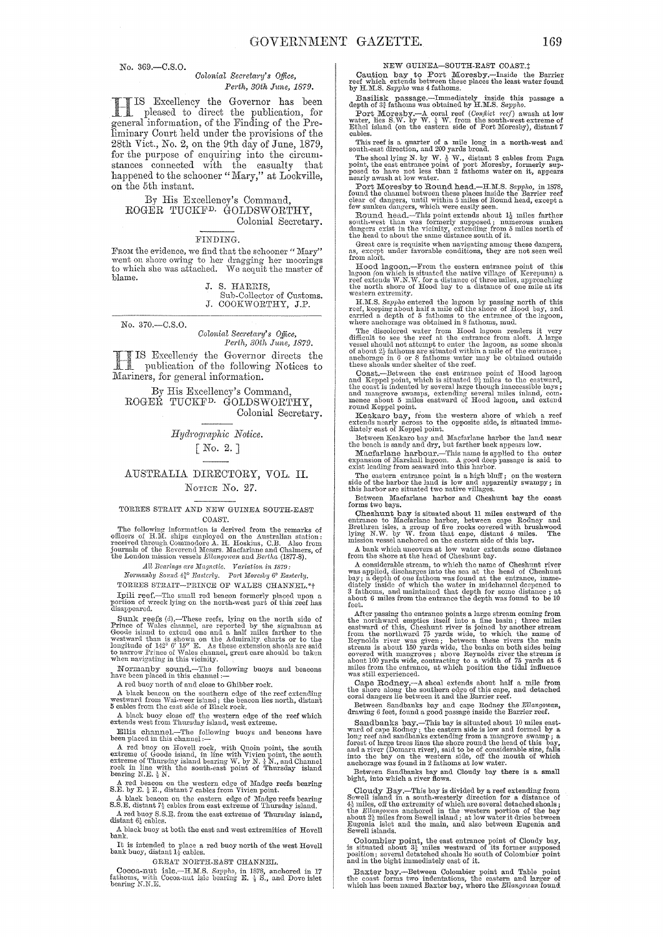No. 369.-C.S.O.

#### Colonial Secretary's Office. Perth, 30th June, 1879.

IS Excellency the Governor has been pleased to direct the publication, for<br>general information, of the Finding of the Preliminary Court held under the provisions of the 28th Vict., No. 2, on the 9th day of June, 1879, for the purpose of enquiring into the circumstances connected with the casualty that happened to the schooner "Mary," at Lockville, on the 5<sup>th</sup> instant.

By His Excellency's Command ROGER TUCKF<sup>D.</sup> GOLDSWORTHY. Colonial Secretary.

#### FINDING.

From the evidence, we find that the schooner "Mary" Than our observations, we mean unavulate mainly to the design the moorings to which she was attached. We acquit the master of blame.

> J. S. HARRIS, Sub-Collector of Customs.<br>J. COOKWORTHY, J.P.

No. 370.-C.S.O.

#### Colonial Secretary's Office, Perth, 30th June, 1879.

IS Excellency the Governor directs the publication of the following Notices to Mariners, for general information.

By His Excellency's Command. ROGER TUCKF<sup>D.</sup> GOLDSWORTHY, Colonial Secretary.

Hydrographic Notice.

## $\lceil$  No. 2.  $\rceil$

### AUSTRALIA DIRECTORY, VOL. II. NOTICE No. 27.

#### TORRES STRAIT AND NEW GUINEA SOUTH-EAST COAST.

The following information is derived from the remarks of officers of H.M. ships employed on the Australian station received through Commodore A. H. Hoskins, C.B. Also from journals of the Reverend Messrs. Macfarlane and Ch

All Bearings are Magnetic. Variation in 1879:

Normanby Sound 42° Easterly. Port Moresby 6° Easterly.

TORRES STRAIT-PRINCE OF WALES CHANNEL.\*\* Total reef.—The small red beacon formerly placed upon a portion of wreck lying on the north-west part of this reef has disappeared.

Example are of Sunk reefs (d).—These reefs, lying on the north side of<br>
Sunk reefs (d).—These reefs, lying on the north side of<br>
Frince of Wales channel, are reported by the signalman at<br>
Goode island to extend one and a

Normanby sound.-The following buoys and beacons have been placed in this channel :-

A red buoy north of and close to Ghibber rock.

A black beacon on the southern edge of the reef extending westward from Wai-weer island; the beacon lies north, distant 5 cables from the east side of Black rock.

 $\Lambda$  black buoy close off the western edge of the reef which extends west from Thursday island, west extreme.

Ellis channel.--The following buoys and beacons have been placed in this channel :-

been placed in this channel:  $\frac{1}{2}$  and  $\frac{1}{2}$  and  $\frac{1}{2}$  and  $\frac{1}{2}$  and  $\frac{1}{2}$  and  $\frac{1}{2}$  and  $\frac{1}{2}$  and  $\frac{1}{2}$  and  $\frac{1}{2}$  and  $\frac{1}{2}$  and  $\frac{1}{2}$  and  $\frac{1}{2}$  and  $\frac{1}{2}$  and  $\frac{1}{2}$ 

A red behcom on the western edge of Madge reefs bearing<br>S.E. by E.  $\frac{1}{2}$  E., distant 7 cables from Vivien point.

A black beacon on the eastern edge of Madge reefs bearing<br>  ${\bf S.S.E.}$  distant  $7\frac{1}{2}$  cables from east extreme of Thursday island. A red buoy S.S.E. from the east extreme of Thursday island, distant  $6\frac{1}{6}$  cables.

A black buoy at both the east and west extremities of Hovell bank.

It is intended to place a red buoy north of the west Hovell bank buoy, distant  $1\frac{t}{2}$  cables.

GREAT NORTH-EAST CHANNEL.

Cocon-nut is<br>le.--H.M.S. Sapphe, in 1878, anchored in 17 fathoms, with Cocon-nut is<br>le bearing E.  $\frac{1}{2}$  S., and Dove is<br>let bearing N.N.E.

NEW GUINEA-SOUTH-EAST COAST.:

Caution bay to Port Moresby.-Inside the Barrier<br>reef which extends between these places the least water found<br>by H.M.S. Sappho was 4 fathoms.

Basilisk passage.—Immediately inside this passage a depth of  $3\frac{3}{4}$  fathoms was obtained by H.M.S. Sappho.<br>Port Moresby.—A coral reef (Condite reef) awash at low<br>where, Horesby.—A coral reef (Condite reef) awash at lo cable

This reef is a quarter of a mile long in a north-west and<br>south-east direction, and 200 yards broad.<br>The shoal lying N. by W.  $\frac{1}{2}$  W., distant 3 cables from Paga<br>point, the east entrance point of port Moresby, former

neary awas at low water.<br>The Doreshy to Round head.—H.M.S. Sappho, in 1878,<br>found the channel between these places inside the Barrier reef<br>clear of dangers, until within 5 miles of Round head, except a<br>few sunken dangers,

the same of moving the same unstance solution in the second care is requisite when navigating among these dangers,<br>as, except under favorable conditions, they are not seen well<br>from aloft.

From about.<br>Hood lagoon.—From the eastern entrance point of this<br>lagoon (on which is situated the native village of Kerepuna) a<br>reef extends W.N.W. for a distance of three miles, approaching<br>the north shore of Hood bay to

 $M.S. Supph$  entered the lagoon by passing north of this reef, keeping about half a mile off the shore of Hood bay, and carried a depth of 5 fathioms to the enternee of the lagoon, where anchorage was obtained in 8 fathioms, m

Where an<br>enougle was countined in 6 unitables, much the discolored water from Hood lagoon renders it very<br>difficult to see the reef at the entrance from aloft. A large<br>vessel should not attempt to enter the lagoon, as som

Coast.—Between the east entrance point of Hood lagoon<br>and Keppel point, which is situated  $9\frac{1}{2}$  miles to the eastward,<br>the coast is indented by several large though inaccessible bays;<br>and mangrove swamps, extending s

round Keppel point.<br>
Keakaro bay, from the western shore of which a reef<br>
Keakaro bay, from the western shore of which a reef<br>
dately east of Keppel point.<br>
Between Keakaro bay and Macfarlane harbor the land near<br>
the beac

The eastern entrance point is a high bluff; on the western<br>The eastern entrance point is a high bluff; on the western<br>side of the harbor the land is low and apparently swampy; in<br>this harbor are situated two native village

Between Macfarlane harbor and Cheshunt bay the coast forms two bays.

forms two bays.<br>Cheshurt bay is situated about 11 miles eastward of the entrance to Macfarlane harbor, between cape Rodney and Brethren isles, a group of the rocks covered with brushwood lying N.W. by W. from that cape, di

 $\Lambda$  bank which uncovers at low water extends some distance from the shore at the head of Cheshunt bay.

From the shore at the mean of Cheshuat may.<br>
A considerable stream, to which the name of Cheshunt river<br>
was applied, discharges into the sea at the head of Cheshunt<br>
bay; a depth of one fathom was found at the entrance, i

feet.<br>
After passing the entrance points a large stream coming from<br>
After passing the entrance points a large stream coming from<br>
the northward empties itself into a fine basin; three miles<br>
eastward of this, Cheshunt ri

Cape Rodney. $-A$  shoal extends about half a mile from the shore along the southern edge of this cape, and detached coral dangers lie between it and the Barrier reef.

Between Sandbanks bay and cape Rodney the Ellangowan, drawing 6 feet, found a good passage inside the Barrier reef.

drawing o reet, round a good passage inside the barrier reet.<br>Sandbanks bay.—This bay is situated about 10 miles east-<br>ward of cape Rodney; the eastern side is low and formed by a<br>long reef and sandbanks extending from a m

Between Sandbanks bay and Cloudy bay there is a small bight, into which a river flows.

Cloudy Bay.—This bay is divided by a reef extending from<br>Sewell island in a south-westerly direction for a distance of<br> $4\frac{1}{2}$  miles, off the extremity of which are several detached shouls<br>; the  $Ellangovax$  and<br>nored in th

Colombier point, the east entrance point of Cloudy bay, is situated about 3 $\frac{1}{2}$  miles westward of its former supposed position; several detatched shoals lie south of Colombier point and in the bight immediately east

Baxter bay.—Between Colombier point and Table point<br>the coast forms two indentations, the eastern and larger of<br>which has been named Baxter bay, where the Ellangowan found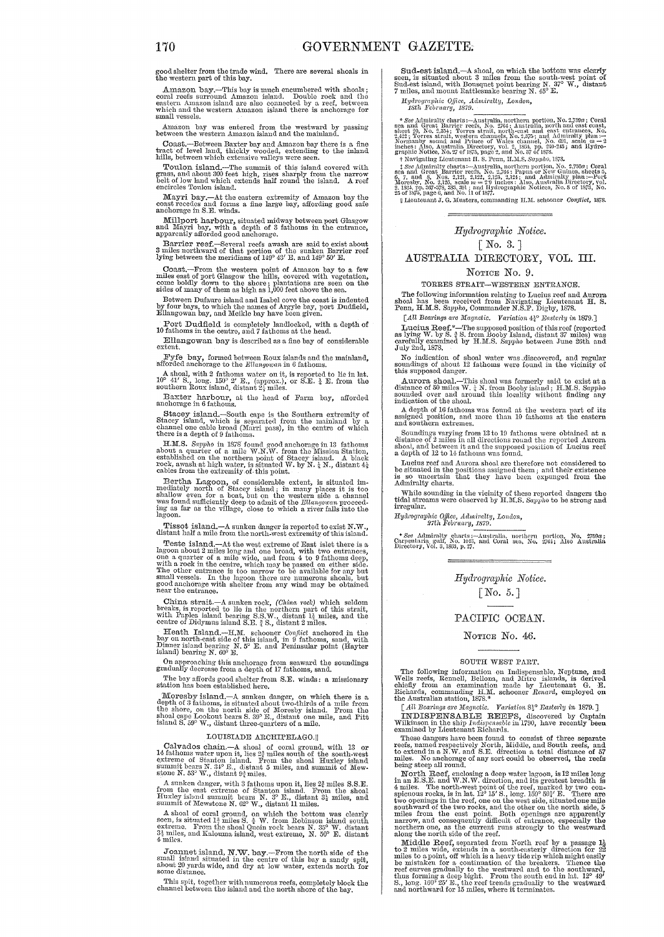good shelter from the trade wind. There are several shoals in the western part of this bay.

Amazon bay.--This bay is much encumbered with shoals; coral reefs surround Amazon island. Double rock and the<br>eastern Amazon island are also connected by a reef, between which and the western Amazon island there is anchorage for small vessels.

Amazon bay was entered from the westward by passing between the western Amazon island and the mainland.

Coast.—Between Baxter bay and Amazon bay there is a fine tract of level land, thickly wooded, extending to the inland hills, between which extensive valleys were seen.

Toulon island.-The summit of this island covered with grass, and about 300 feet high, rises sharply from the narrow belt of low land which extends half round the island. A reef encircles Toulon island.

Mayri bay.-At the eastern extremity of Amazon bay the coast recedes and forms a fine large bay, affording good safe anchorage in S.E. winds.

Millport harbour, situated midway between port Glasgow and 1Ifn,yri bay, with a depth of 3 fathoms in the entrance, apparently afforded good anchorage.

Barrier reef.-Several reefs awash are said to exist about 3 miles northward of that portion of the sunken Barrier reef lying between the meridians of 149° 43' E. and 149° 50' E.

Coast.—From the western point of Amazon bay to a few miles east of port Glasgow the hills, covered with vegetation, come boldly down to the shore; plantations are seen on the sides of many of them as high as 1,000 feet ab

Between Dufaure island and Isabel cove the coast is indented<br>by four bays, to which the names of Argyle bay, port Dudfield,<br>Ellangowan bay, and Meikle bay have been given.

Port Dudfield is completely landlocked, with a depth of 10 fathoms in the centre, and 7 fathoms at the head.

Ellangowan bay is described as a fine bay of considerable extent.

Fyfe bay, formed between Roux islands and the mainland, afforded anchorage to the  $E$ llangowan in 6 fathoms.

A shoal, with 2 fathoms water on it, is reported to lie in lat.  $10^{\circ}$  41' S., long.  $150^{\circ}$  2' E., (approx.), or S.E.  $\frac{1}{4}$  E. from the southern Roux island, distant  $2\frac{1}{2}$  miles.

Baxter harbour, at the head of Farm bay, afforded anchorage in 6 fathoms.

Stacey island.-South cape is the Southern extremity of Stacey island, which is separated from the mainland by a channel one cable broad (Marri pass), in the centre of which there is a depth of 9 fathoms.

H.M.S. Sappho in 1878 found good nachorage in 13 fathoms<br>about a quarter of a mile W.N.W. from the Mission Station,<br>established on the northern point of Stacey island. A black<br>rook, awash at high water, is situated W. by

Bertha Lagoon, of considerable extent, is situated im-mediately north of Stacey island; in many places it is too shallow even for a boat, but on the western side a channel was found sufficiently deep to admit of the Ellang Ing as far as the vilhge, close to which a river falls into the lagoon.

Tissot island.- $\Delta$  sunken danger is reported to exist N.W., distant half a mile from the north-west extremity of this island.

Teste island.--At the west extreme of East islet there is a lagoon about 2 miles long and one broad, with two entrances, one is a one is a mile wide, and from 4 to 9 fathoms deep, with a rock in the centre, which may be passed on either side.<br>The other entrance is too narrow to be available for any but<br>small vessels. In the lagoon there are numerous shoals, but<br>good anchorage with shelter from any w

China strait.—A sunken rock, (China rock) which seldom<br>breaks, is reported to lie in the northern part of this strait,<br>with Paples island bearing S.S.W., distant 12 miles, and the<br>centre of Didymus island S.E.  $\frac{3}{4}$  S

Heath Island.-H.M. sohooner *Conflict* anchored in the bay on north-east side of this island, in 9 fathoms, sand, with Dinner island bearing N. 6° E. and Peninsular point (Hayter island) bearing N. 60° E.

On approaching this anchorage from seaward the soundings gradually decrease from a depth of 17 fathoms, sand,

The bay affords good shelter from S.E. winds: a. missionary station has been established here.

Moresby island.-A sunken danger, on which there is a depth of 3 fathoms, is situated about two-thirds of a mile from<br>the shore, on the north side of Moresby island. From the shoal cape Lookout bears S.  $39^{\circ}$  E., distant one mile, and Pitt Island S.  $59^{\circ}$  W., distant three-quarters of a mile.

#### LOUISIADE ARCHIPELAGO.||

Calvados chain,--A shoal of coral ground, with 13 or 14 fathoms water upon it, lies  $2\frac{3}{4}$  miles south of the south-west extreme of Stanton island, From the shoal Huxley island Summit bears N. 31? E., distant 5 miles, and summit of Mew-<br>stone N. 53° W., distant 94 miles.

A sunken danger, with 3 fathoms upon it, lies  $2\frac{3}{4}$  miles S.S.E.<br>from the east extreme of Stanton island. From the shoal<br>Huxley island summit bears N. 3° E., distant  $3\frac{1}{4}$  miles, and<br>summit of Mewstone N. 62° W.

A shoal of coral ground, on which the bottom was clearly seen, is situated 14 miles S.  $^3$  W. from Robinson island grouth extreme. From the shoal Quoin rock bears N. 35° W. distant  $3\frac{1}{2}$  miles, and Kalouma island, west extreme, N.  $50^{\circ}$  E. distant 4 miles.

Joannet island, N.W. bay.—From the north side of the small island situated in the centre of this bay a sandy spit, about 20 yards wide, and dry at low water, extends north for some distance.

This spit, together with numerous reefs, completely block the channel between the island and the north shore of the bay.

Sud-est island. $-A$  shoal, on which the bottom was clearly seen, is situated about 3 miles from the south-west point of Sud-est island, with Bousquet point bearing N. 37° W., distant<br>7 miles, and mount Rattlesnake bearing N. 45° E.

*Hydrographic Office, Admiralty, London, 18th February, 1879.* 

\* *See* Admiralty charts :---Australia, northern portion, No. 2,759¤ ; Coral<br>sea and Great Barrier reefs, No. 2764 ; Australia, north and east coast , No.<br>sheet 20. No. 2,354 : Torres strait. north-east and east en Normanny sound and Prince or wates entained, so, car, sente  $m = 2$ <br>inches : Also, Australia Directory, vol. 2, 1834, pp. 240-243; and Hydrographic Notice, No. 27 of 1875, page 2, and No. 37 of 1878.<br>† Navigating Lieutenan

 $\mathbf{b}_1$ , and  $\mathbf{c}_2$ , and  $\mathbf{c}_3$ ,  $\mathbf{c}_4$ ,  $\mathbf{c}_5$ ,  $\mathbf{c}_7$ ,  $\mathbf{c}_8$ ,  $\mathbf{c}_9$ ,  $\mathbf{c}_9$ ,  $\mathbf{c}_9$ ,  $\mathbf{c}_9$ ,  $\mathbf{c}_9$ ,  $\mathbf{c}_9$ ,  $\mathbf{c}_9$ ,  $\mathbf{c}_9$ ,  $\mathbf{c}_9$ ,  $\mathbf{c}_9$ ,  $\mathbf{c}_9$ ,  $\mathbf{c}_9$ ,  $\mathbf$ 

#### *Hydl'og1'aphic Notice.*

#### [No. 3. ]

## AUSTRALIA DIRECTORY, VOL. TIr.

#### NOTICE No. 9.

TORRES STRAIT-WESTERN ENTRANCE.

The following information relating to Lucius reef and Aurora shoal has been received from Navigating Lieutenant H. S.<br>Penn, H.M.S. Sappho, Commander N.S.F. Digby, 1878.

*[All Bearings are Magnetic. Variation 4<sup>1</sup>/<sub>2</sub><sup>o</sup> <i>Easterly in 1879.]* 

Lucius Reef.\*-The supposed position of this reef (reported as lying W. by S.  $\frac{3}{2}$  S. from Booby Island, distant 37 miles) was carefully examined by H.M.S. Sapple between June 26th and July 2nd, 1878.

No indication of shoal water was discovered, and regular soundings of about 12 fathoms were found in the vicinity of this supposed danger.

Aurora shoal.--This shoal was formerly said to exist at a distance of 50 miles W,  $\frac{1}{4}$  N. from Booby islnnd; H.M.S. *Sappho* sounded over and around this locality without finding any indication of the shoal.

A depth of 16 fathoms was found at the western part of its assigned position, and more than 10 fathoms at the eastern and southern extremes.

Soundings varying from 13 to 19 fathoms were obtained at a distance of 2 miles in all directions round the reported Aurora shoal, and between it and the supposed position of Lucius reef a depth of 12 to 14 fathoms was fou

a user and Aurora 811oal are therefore not considered to be situated in the positions assigned them; and their existence is so uncertain that they have been expunged from the Admiralty charts.

While sounding in the vicinity of these reported dangers the tidal streams were observed by H.M.S. Sappho to be strong and irregular.

*Hyclrographic O.fJice, Adll1.il'a7ty, London, 27th February, It)'i'9 .* 

\* See Admiralty charts: Australia, northern portion, No. 2750 $a$ ; Carpentaria gulf, No. 1055, and Coral sea, No. 2764; Also Australia Directory, Vol. 3, 1893, p. 27.

*Hyclrogmphic Notice.* 

#### $\lceil$  No. 5.]

#### PACIFIC OCEAN.

#### NOTICE No. 46.

#### SOUTH WEST PART.

The following information on Indispensable, Neptune, and Wells reefs, Rennell, Bellona, and Mitre islands, is derived onlined in the indicated chiefly from an examination made by Lieutenant G. E.<br>Richards, commanding H.M.

INDISPENSABLE REEFS, discovered by Captain Wilkinson in the ship *Indispensable* in 1790, have recently been examined by Lieutenant Richards.<br> **EXELGENT RICLE AND INDISPENSABLE PROPERTY AND SET OF PROPERTY BEEN EXAMINED AS** 

These dangers have been found to consist of three separate<br>reefs, named respectively North, Middle, and South reefs, and<br>to extend in a N.W. and S.E. direction a total distance of 57<br>miles. No anchorage of any sort could b

North Reef, enclosing a deep water lagoon, is 12 miles long<br>in an an E.S.E. and W.N.W. direction, and its greatest breadth is<br>4 miles. The north-west point of the reef, marked by two con-<br>spicuous rocks, is in lat. 12° 15

Middle Reef, separated from North reef by a passage  $1\frac{1}{2}$  to 2 miles wide, extends in a south-easterly direction for 22 miles to a point, off which is a heavy tide rip which might easily be mistaken for a continuatio S., long. 160<sup>5</sup> 25' E., the reef trends gradually to the westward and northward for 15 miles, where it terminates.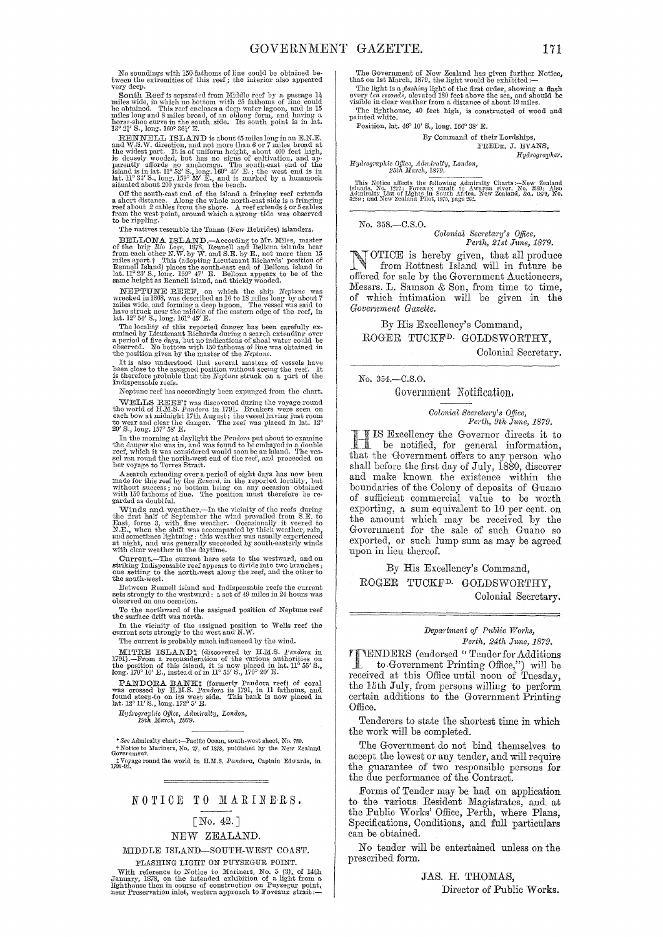No soundings with 150 fathoms of line could be obtained be-<br>tween the extremities of this reef; the interior also appeared very deep.

**South Reef** is separated from Middle reef by a passage  $1\frac{1}{2}$  miles wide, in which no bottom with 25 fathoms of the could be obtained. This reef encloses a deep water lagoon, and is 15 miles long and 8 miles broad, o

RENNELL ISLAND is about 45 miles long in an E.N.E.<br>and W.S.W. direction, and not more than 6 or 7 miles broad at<br>the widest part. It is of uniform height, about 400 feet high,<br>is densely wooded, but has no signs of cultiva parently affords no anchorage. The south-east end of the island is in lat. 11° 52' S., long. 160° 40' E.; the west end is in lat. 11° 34' S., long. 159° 55' E., and is marked by a hummock situated about 200 yards from the

Student about 200 y at as Hold the Beach.<br>
Off the south-east end of the island a fringing reef extends<br>
a short distance. Along the whole north-east side is a fringing<br>
reef about 2 cables from the shore. A reef extends 4

The natives resemble the Tanna (New Hebrides) islanders.

**BELLIONA ISLAND**. According to Mr. Miles, master of the brig Rio Loge, 1875, Rennell and Bellona islands bear from each other N.W. by W. and S.E. by E., not more than 15 miles apart. This (adopting Lietunant Richards' pos

**NEPTUNE REEF**, on which the ship Neptune was wrecked in 1868, was described as 16 to 18 miles bung by about 7 miles wide, and forming a deep hgoon. The vessel was said to have struck near the middle of the eastern edge o

The locality of this reported danger has been carefully ex-<br>amined by Lieutenant Richards during a search extending over<br>a period of five days, but no indications of shoal water could be<br>observed. No bottom with 150 fathom

It is also understood that several masters of vessels have been close to the assigned position without seeing the reef. It is therefore probable that the *Neptune* struck on a part of the Indispensable reefs.

Neptune reef has accordingly been expunged from the chart.

TWELLS REEFT was discovered during the chart.<br>WELLS REEFT was discovered during the voyage round of H.M.S. Pandora in 1791. Breakers were seen on each bow at midnight 17th August; the vessel having just room to wear and c

20 S., long. 157 S. T.<br>
In the moming at daylight the Pandora put about to examine the danger she was in, and was found to be embayed in a double reef, which it was considered would soon be an island. The vessel ran round

Assache extending over a period of eight days has now been<br>made for this reef by the *Renard*, in the reported locality, but<br>without success; no bottom being on any occasion obtained<br>with 150 fathoms of line. The position

Winds and weather.—In the vicinity of the reefs during the first half of September the wind prevailed from S.E. to East, force 3, with fine weather. Occasionally it vecred to N.E., when the shift was accompanied by thick

Current.—The current here sets to the westward, and on striking Indispensable reef appears to divide into two branches; one setting to the north-west along the reef, and the other to the south-west.

Between Rennell island and Indispensable reefs the current sets strongly to the westward: a set of 49 miles in 24 hours was observed on one occasion.

To the northward of the assigned position of Neptune reef the surface drift was north.

In the vicinity of the assigned position to Wells reef the current sets strongly to the west and N. W.

The current is probably much influenced by the wind.

**MITRE ISLAND**: (discovered by H.M.S. Pandora in 1791).—From a reconsideration of the various authorities on the position of this island, it is now placed in lat. 11° 55' S., Iong. 170° 10' E., instead of in 11° 55' S., 1

PANDORA BANK<sup>†</sup> (formerly Pandora reef) of coral was crossed by H.M.S. *Pandora* in 1791, in 11 fathoms, and found steep-to on its west side. This bank is now placed in lat. 12° 11' S., long. 172° 5' E.

*Hydrographic Office, Admiralty, London, 19th March, 1879.* 

\* *See* Admiralty chart :-Pacific Ocean, south~west sheet, No. 780. <sup>t</sup>Notice to 3Iarinel's, No. 27, of 1878, published by the New Zealand Government. t Voyage round the world in H.M.S. Pandora, Captain Edwards, in 1790-92.

## NOTICE TO MARINERS.

### $\lceil$  No. 42. ]

### NEW ZEALAND.

MIDDLE ISLAND-SOUTH-WEST COAST\_

FLASHING LIGHT ON PUYSEGUR POINT. Final metric in a contract of Mariners, No. 5 (3), of 14th Hydrogy 1878, on the intended exhibition of a light from a highthouse then in course of construction on Puysegur point, near Preservation inlet, western approach The Government of New Zealand has given further Notice, that on 1st March, 1879, the light would be exhibited:--

The light is a *flashing* light of the first order, showing a flash 8\"C" feet aboudd be every *ten sea, and should be*<br>every *ten secona*", elevated 180 feet aboot 10 miles.<br>Visible in clear weather from a distance of abo The lighthouse, 40 feet high, is constructed of wood and painted white.

Position, lat. 46° 10' S., long. 166° 38' E.

#### By Command of their Lordships, FREDK. J. EVANS, *Hydrograpit6r.*

*Hydrogl'aphic Office, Admiro.lty, London, 25th Maych, IS70.* 

This Notice affects the following Admiralty Charts:—New Zealand<br>islands, No. 1212: Foreaux strait to Awarua river, No. 2589; Also<br>Admiralty List of Lights in South Africa, New Zealand, &c., 1579, No.<br>325 $\alpha$ ; and New Zeala

No. 358.-C.S.O.

*Colonial Sem'etary's Office, Perth, 21st Jwne, 187.9\_* 

l\,TOTICE is hereby given, that all produce .1 ~ from Rottnest Island will in future be offered for sale by the Government Auctioneers, Messrs. L. Samson & Son, from time to time, of which intimation will be given in the *Govemment Gazette.* 

By His Excellency's Command, ROGER TUCKFD. GOLDSWORTHY,

Colonial Secretary.

No. 354.-C.S.O.

Government Notification.

*Colonial Sccreta?'Y's Office, Perth, 9th J1bne, 1879\_* 

**HE IS Excellency the Governor directs it to**<br>be notified, for general information, **IS** Excellency the Governor directs it to be notified, for general information. that the Government offers to any person who shall before the first day of July, 1880, discover and make known the existence within the boundaries of the Colony of deposits of Guano of sufficient commercial value to be worth exporting, a sum equivalent to 10 per cent. on the amount which may be received by the Government for the sale of such Guano so exported, or such lump sum as may be agreed upon in lieu thereof.

By His Excellency's Command, ROGER TUCKFD. GOLDSWORTHY, Colonial Secretary.

> *Depa?'fJment of P1bblic Works, Perth, 24th June, 1879.*

TENDERS (endorsed "Tender for Additions<br>to Government Printing Office,") will be<br>received at this Office will near of Turaday to.Government Printing Office,") will be received at this Office until noon of Tuesday, the 15th July, from persons willing to perform certain additions to the Government Printing Office.

Tenderers to state the shortest time in which the work will be completed.

The Government do not bind themselves to accept the lowest or any tender, and will require the guarantee of two responsible persons for the due performance of the Contract.

Forms of Tender may be had on application to the various Resident Magistrates, and at the Public Works' Office, Perth, where Plans, Specifications, Conditions, and full particulars can be obtained.

No tender will be entertained unless on the prescribed form.

> JAS. H. THOMAS, Director of Public Works.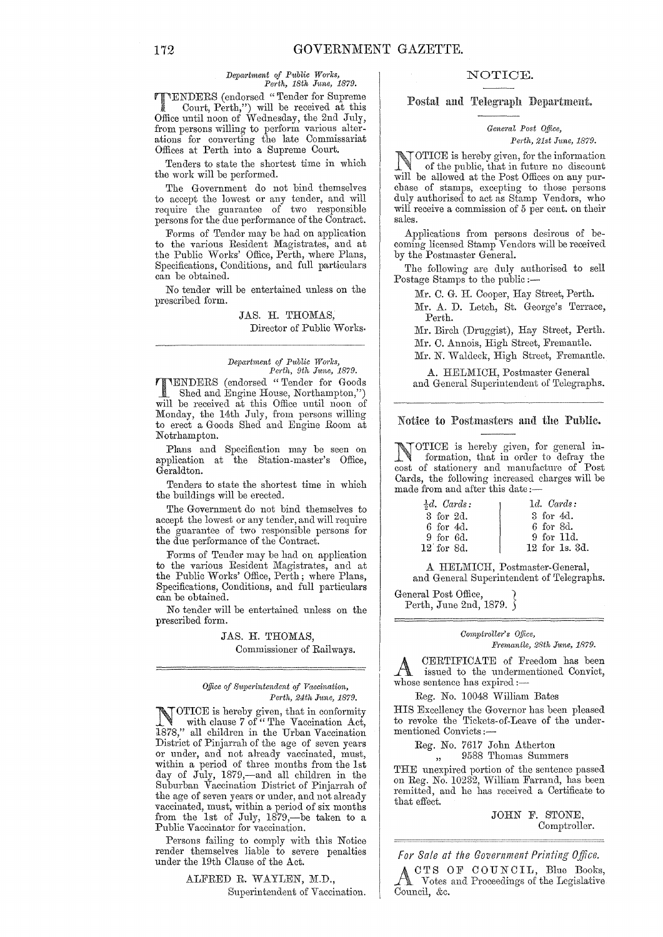#### $Department of Public Works,$ *Perth, 18th J1me, 1879.*

**TTENDERS** (endorsed "Tender for Supreme<br>Court, Perth,") will be received at this Office until noon of Wednesday, the 2nd July, from persons willing to perform various alterations for converting the late Commissariat Offices at Perth into a Supreme Oourt.

Tenders to state the shortest time in which the work will be performed.

The Government do not bind themselves to accept the lowest or any tender, and will require the guarantee of two responsible persons for the due performance of the Contract.

Forms of Tender may be had on application to the varions Resident Magistrates, and at the Public Works' Office, Perth, where Plans, Specifications, Conditions, and full particulars can be obtained.

No tender will be entertained unless on the prescribed form.

> JAS. H. THOMAS, Director of Public Works.

#### *Department of P1tblic Wo'ths, Perth, 9th J1uw, 1879.*

TENDERS (endorsed "Tender for Goods Shed and Engine House, Northampton, will be received at this Office until noon of Monday, the 14th July, from persons willing to erect a Goods Shed and Engine Room at Notrhampton.

Plans and Specification may be seen on application at the Station-master's Office, Geraldton.

Tenders to state the shortest time in which the buildings will be erected.

The Government do not bind themselves to accept the lowest or any tender, and will require the guarantee of two responsible persons for the due performance of the Contract.

Forms of Tender may be had on application to the various Resident Magistrates, and at the Public Works' Office, Perth; where Plans, Specifications, Conditions, and full particulars can be obtained.

No tender will be entertained unless on the prescribed form.

> JAS. H. THOMAS, Commissioner of Railways.

*Office of Superintendent of Vaccination, Perth, 24th June, 1879.* 

NOTICE is hereby given, that in conformity with clause 7 of "The Vaccination Act, l878," all children in the Urban Vaccination District of Pinjarrah of the age of seven years or under, and not already vaccinated, must, within a period of three months from the 1st day of July, 1879,—and all children in the Su burban Vaccination District of Pinjarrah of the age of seven years or under, and not already vaccinated, must, within a period of six months from the 1st of July, 1879,—be taken to a Public Vaccinator for vaccination.

Persons failing to comply with this Notice render themselves liable to severe penalties under the 19th Clause of the Act.

> ALFRED R. WAYLEN, M.D., Superintendent of Vaccination.

## NOTIOE.

Postal and Telegraph Department.

#### $General$  Post Office, *Perth, 21st June, 1879.*

NOTICE is hereby given, for the information of the public, that in future no discount will be allowed at the Post Offices on any purchase of stamps, excepting to those persons duly authorised to act as Stamp Vendors, who will receive a commission of 5 per cent. on their sales.

Applications from persons desirous of becoming licensed Stamp Vendors will be received. by the Postmaster General.

The following are duly authorised to sell Postage Stamps to the public :-

Mr. C. G. H. Cooper, Hay Street, Perth.

Mr. A. D. Letch, St. George's Terrace, Perth.

Mr. Birch (Druggist), Hay Street, Perth.

Mr. C. Annois, High Street, Fremantle.

Mr. N. Waldeck, High Street, Fremantle.

A. HELMICH, Postmaster General and General Superintendent of Telegraphs.

#### Notice to Postmasters amI the Public.

NOTICE is hereby given, for general information, that in order to defray the cost of stationery and manufacture of Post Cards, the following increased charges will be made from and after this date;-

| $\frac{1}{2}d$ . Cards: | $1d.$ Cards:   |
|-------------------------|----------------|
| 3 for 2d.               | 3 for 4d.      |
| 6 for 4d.               | 6 for 8d.      |
| 9 for 6d.               | 9 for 11d.     |
| $12$ for $8d$ .         | 12 for 1s, 3d. |

A HELMICH, Postmaster-General, and General Superintendent of Telegraphs.

General Post Office, } Perth, June 2nd, 1879.  $\delta$ 

#### *Comptroller's Office, Fremantle, 28th June, 1879.*

A CERTIFICATE of Freedom has been issued to the undermentioned Convict, whose sentence has expired :-

Reg. No. 10048 William Bates

HIS Excellency the Governor has been pleased to revoke the Tickets-of-Leave of the undermentioned Convicts ;-

Reg. No. 7617 John Atherton ,, 9588 Thomas Summers

THE unexpired portion of the sentenee passed on Reg. No. 10232, William Fan'and, has been remitted, and he has received a Certificate to that effect.

> JOHN F. STONE, Comptroller.

*For 8a/e at the Government Printing Office.* 

CTS OF COUNCIL, Blue Books,<br>Votes and Proceedings of the Legislative Votes and Proceedings of the Legislative Council, &c.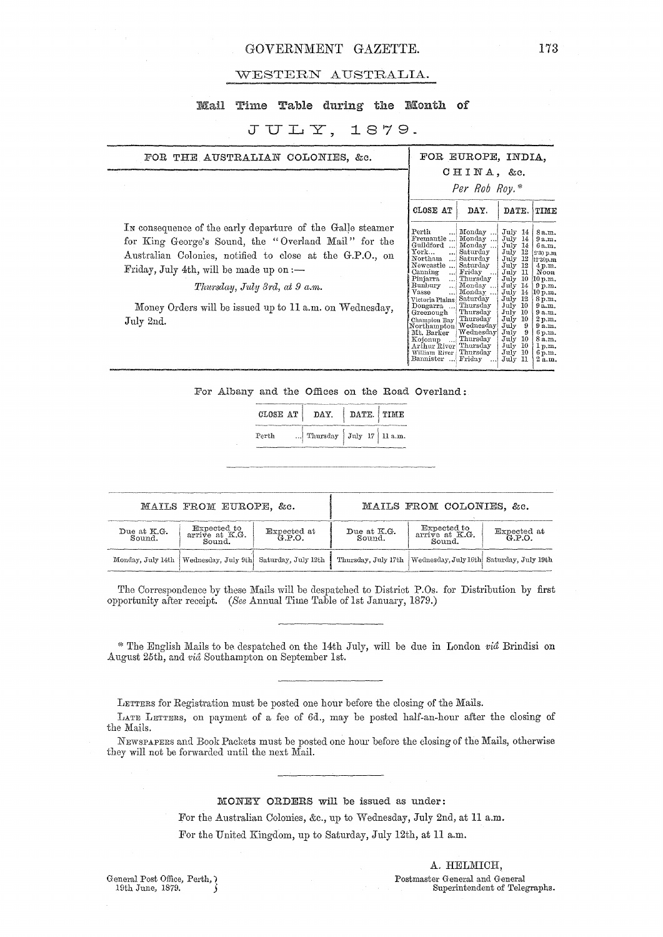## GOVERNMENT GAZETTE. 173

#### WESTERN AUSTRALIA.

## Mail Time Table during the Month of

## $JULY, 1879.$

| FOR THE AUSTRALIAN COLONIES, &c.                                                                                                                                                                                                                                                                                                        |                                                                                                                                                                                                                                                                                                                                                              | FOR EUROPE, INDIA.<br>$CHINA$ , &c.<br>Per Rob Roy.*                                                                                                                                        |                                                                                                                                                                                                                                                                              |                                                                                                                                                                                                            |
|-----------------------------------------------------------------------------------------------------------------------------------------------------------------------------------------------------------------------------------------------------------------------------------------------------------------------------------------|--------------------------------------------------------------------------------------------------------------------------------------------------------------------------------------------------------------------------------------------------------------------------------------------------------------------------------------------------------------|---------------------------------------------------------------------------------------------------------------------------------------------------------------------------------------------|------------------------------------------------------------------------------------------------------------------------------------------------------------------------------------------------------------------------------------------------------------------------------|------------------------------------------------------------------------------------------------------------------------------------------------------------------------------------------------------------|
| In consequence of the early departure of the Galle steamer<br>for King George's Sound, the "Overland Mail" for the<br>Australian Colonies, notified to close at the G.P.O., on<br>Friday, July 4th, will be made up on $:$ $-$<br>Thursday, July 3rd, at 9 a.m.<br>Money Orders will be issued up to 11 a.m. on Wednesday,<br>July 2nd. | CLOSE AT<br>$\rm Perth$<br>Fremantle<br>Guildford<br>انت<br>York.<br>Northam<br>Newcastle<br>Canning<br><br>Pinjarra<br>!<br>Bunbury<br>ا ، ، ،<br><b>Vasse</b><br>. 1<br>Victoria Plains   Saturday<br>Dongarra  Thursday<br>Greenough<br>Champion Bay Thursday<br>Northampton Wednesday<br>Mt. Barker<br>Koionup<br>أممد<br>Arthur River'<br>William River | DAY.<br>Monday<br>Monday<br>Monday<br>Saturday<br>  Saturday<br>Saturday<br>Friday<br>$\cdots$<br>Thursday<br>Monday<br>Monday<br>Thursday<br>Wednesday<br>Thursday<br>Thursday<br>Thursday | DATE.<br>$_{\rm July}$<br>- 14<br>July<br>14<br>July<br>14<br>12<br>July<br>July<br>12<br>July<br>12<br>July<br>11<br>10<br>July<br>July 14<br>July<br>14<br>July<br>12<br>July 10<br>July 10<br>July<br>-10<br>July<br>-9<br>July<br>9<br>July<br>-10<br>July 10<br>July 10 | TIME<br>8 a.m.<br>9a.m.<br>6a.m.<br>2.30 p.m<br>12'30p.m<br>4 p.m.<br>Noon<br>10 p.m.<br>9 p.m.<br>10 p.m.<br>8p.m.<br>9a.m.<br>9a.m.<br>2 p.m.<br>9a.m.<br>6 p.m.<br>8 a.m.<br>1 p.m.<br>6 <sub>p,m</sub> |

For Albany and the Offices on the Road Overland:

| CLOSE AT   DAY. |                            | DATE TIME |  |  |
|-----------------|----------------------------|-----------|--|--|
| Perth           | Thursday $July 17 11 a.m.$ |           |  |  |

|                       | MAILS FROM EUROPE, &c.                                        |                    |                       | MAILS FROM COLONIES, &c.                                       |  |  |
|-----------------------|---------------------------------------------------------------|--------------------|-----------------------|----------------------------------------------------------------|--|--|
| Due at K.G.<br>Sound. | Expected to<br>arrive at K.G.<br>Sound.                       | Expected at G.P.O. | Due at K.G.<br>Sound. | Expected to<br>arrive at K.G.<br>Expected at G.P.O.<br>Sound.  |  |  |
|                       | Monday, July 14th   Wednesday, July 9th   Saturday, July 12th |                    |                       | Thursday, July 17th   Wednesday, July 16th Saturday, July 19th |  |  |

The Correspondence by these Mails will be despatched to District P.Os. for Distribution by first opportunity after receipt. *(See Annual Time Table of 1st January, 1879.)* 

\* The English Mails to be despatched on the 14th July, will be due in London *via* Brindisi on August 25th, and *via* Southampton on September 1st.

LETTERS for Registration must be posted one hour before the closing of the Mails.

LATE LETTERS, on payment of a fee of 6d., may be posted half-an-hour after the closing of the Mails.

NEWSPAPERS and Book Packets must be posted one hour before the closing of the Mails, otherwise they will not be forwarded until the next MaiL

## MONEY ORDERS will be issued as under:

For the Australian Colonies, &c., up to Wednesday, July 2nd, at 11 a.m.

For the United Kingdom, up to Saturday, July 12th, at 11 a.m.

General Post Office, Perth, ) 19th June, 1879. *S* 

A. HELMICH,